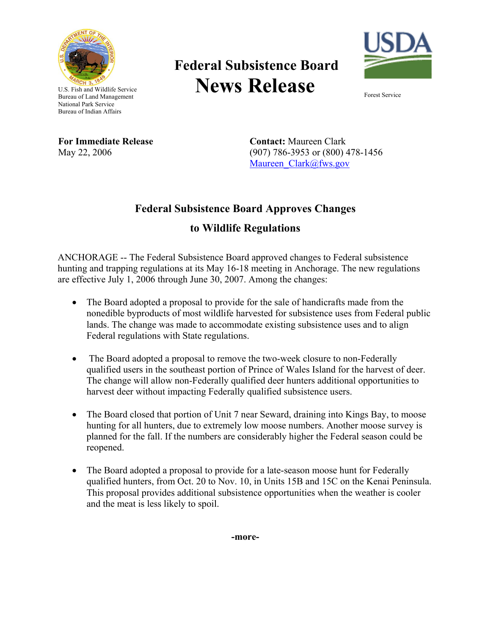

## **Federal Subsistence Board News Release**



U.S. Fish and Wildlife Service Bureau of Land Management National Park Service Bureau of Indian Affairs

**For Immediate Release**  May 22, 2006

**Contact:** Maureen Clark (907) 786-3953 or (800) 478-1456 Maureen\_Clark@fws.gov

## **Federal Subsistence Board Approves Changes**

## **to Wildlife Regulations**

ANCHORAGE -- The Federal Subsistence Board approved changes to Federal subsistence hunting and trapping regulations at its May 16-18 meeting in Anchorage. The new regulations are effective July 1, 2006 through June 30, 2007. Among the changes:

- The Board adopted a proposal to provide for the sale of handicrafts made from the nonedible byproducts of most wildlife harvested for subsistence uses from Federal public lands. The change was made to accommodate existing subsistence uses and to align Federal regulations with State regulations.
- The Board adopted a proposal to remove the two-week closure to non-Federally qualified users in the southeast portion of Prince of Wales Island for the harvest of deer. The change will allow non-Federally qualified deer hunters additional opportunities to harvest deer without impacting Federally qualified subsistence users.
- The Board closed that portion of Unit 7 near Seward, draining into Kings Bay, to moose hunting for all hunters, due to extremely low moose numbers. Another moose survey is planned for the fall. If the numbers are considerably higher the Federal season could be reopened.
- The Board adopted a proposal to provide for a late-season moose hunt for Federally qualified hunters, from Oct. 20 to Nov. 10, in Units 15B and 15C on the Kenai Peninsula. This proposal provides additional subsistence opportunities when the weather is cooler and the meat is less likely to spoil.

**-more-**